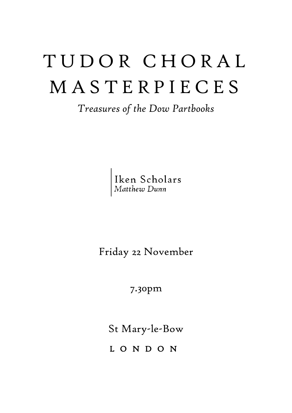# T U D O R C H O R A L M A S T E R P I E C E S

*Treasures of the Dow Partbooks*

Iken Scholars<br>Matthew Dunn

Friday 22 November

7.30pm

St Mary-le-Bow

L O N D O N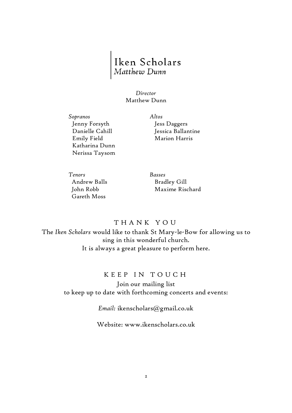## Iken Scholars<br>Matthew Dunn

*Director* Matthew Dunn

*Sopranos Altos* Jenny Forsyth Danielle Cahill Emily Field Katharina Dunn Nerissa Taysom

Jess Daggers Jessica Ballantine Marion Harris

*Tenors Basses* Andrew Balls John Robb Gareth Moss

Bradley Gill Maxime Rischard

#### T H A N K Y O U

The *Iken Scholars* would like to thank St Mary-le-Bow for allowing us to sing in this wonderful church. It is always a great pleasure to perform here.

#### K E E P IN TOUCH

Join our mailing list to keep up to date with forthcoming concerts and events:

*Email:* ikenscholars@gmail.co.uk

Website: www.ikenscholars.co.uk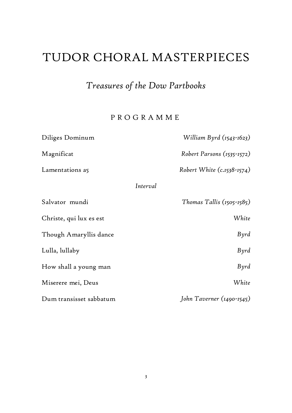## TUDOR CHORAL MASTERPIECES

## *Treasures of the Dow Partbooks*

### P R O G R A M M E

| Diliges Dominum         | William Byrd (1543-1623)      |
|-------------------------|-------------------------------|
| Magnificat              | Robert Parsons (1535-1572)    |
| Lamentations a5         | Robert White (c.1538-1574)    |
| Interval                |                               |
| Salvator mundi          | Thomas Tallis $(1505 - 1585)$ |
| Christe, qui lux es est | White                         |
| Though Amaryllis dance  | Byrd                          |
| Lulla, lullaby          | Byrd                          |
| How shall a young man   | Byrd                          |
| Miserere mei, Deus      | White                         |
| Dum transisset sabbatum | John Taverner (1490-1545)     |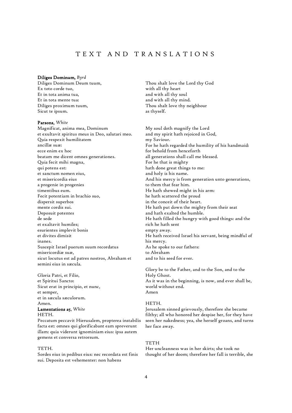### T E X T A N D T R A N S L A T I O N S

#### Diliges Dominum, *Byrd*

Diliges Dominum Deum tuum, Ex toto corde tuo, Et in tota anima tua, Et in tota mente tua: Diliges proximum tuum, Sicut te ipsum.

#### Parsons, *White*

Magnificat, anima mea, Dominum et exultavit spiritus meus in Deo, salutari meo. Quia respexit humilitatem ancillæ suæ: ecce enim ex hoc beatam me dicent omnes generationes. Quia fecit mihi magna, qui potens est: et sanctum nomen eius, et misericordia eius a progenie in progenies timentibus eum. Fecit potentiam in brachio suo, dispersit superbos mente cordis sui. Deposuit potentes de sede et exaltavit humiles; esurientes implevit bonis et divites dimisit inanes. Suscepit Israel puerum suum recordatus misericordiæ suæ, sicut locutus est ad patres nostros, Abraham et semini eius in sæcula.

Gloria Patri, et Filio, et Spiritui Sancto: Sicut erat in principio, et nunc, et semper, et in sæcula sæculorum. Amen. Lamentations a5, *White*

#### HETH.

Peccatum peccavit Hierusalem, propterea instabilis facta est: omnes qui glorificabant eam spreverunt illam: quia viderunt ignominiam eius: ipsa autem gemens et conversa retrorsum.

#### TETH.

Sordes eius in pedibus eius: nec recordata est finis sui. Deposita est vehementer: non habens

Thou shalt love the Lord thy God with all thy heart and with all thy soul and with all thy mind. Thou shalt love thy neighbour as thyself.

My soul doth magnify the Lord and my spirit hath rejoiced in God, my Saviour. For he hath regarded the humility of his handmaid: for behold from henceforth all generations shall call me blessed. For he that is mighty hath done great things to me: and holy is his name. And his mercy is from generation unto generations, to them that fear him. He hath shewed might in his arm: he hath scattered the proud in the conceit of their heart. He hath put down the mighty from their seat and hath exalted the humble. He hath filled the hungry with good things: and the rich he hath sent empty away. He hath received Israel his servant, being mindful of his mercy. As he spoke to our fathers: to Abraham and to his seed for ever.

Glory be to the Father, and to the Son, and to the Holy Ghost. As it was in the beginning, is now, and ever shall be, world without end. Amen

#### HETH.

Jerusalem sinned grievously, therefore she became filthy; all who honored her despise her, for they have seen her nakedness; yea, she herself groans, and turns her face away.

#### **TETH**

Her uncleanness was in her skirts; she took no thought of her doom; therefore her fall is terrible, she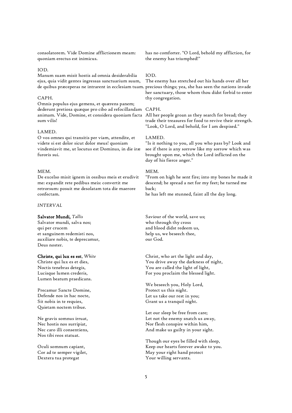consolatorem. Vide Domine afflictionem meam: quoniam erectus est inimicus.

#### IOD.

Manum suam misit hostis ad omnia desiderabilia ejus, quia vidit gentes ingressas sanctuarium suum,

#### CAPH.

Omnis populus ejus gemens, et quærens panem; dederunt pretiosa quæque pro cibo ad refocillandam CAPH. animam. Vide, Domine, et considera quoniam facta All her people groan as they search for bread; they sum vilis!

#### LAMED.

O vos omnes qui transitis per viam, attendite, et videte si est dolor sicut dolor meus! quoniam vindemiavit me, ut locutus est Dominus, in die iræ furoris sui.

#### **MEM**

De excelso misit ignem in ossibus meis et erudivit me: expandit rete pedibus meis: convertit me retrorsum: posuit me desolatam tota die maerore confectam.

*INTERVAL*

#### Salvator Mundi, *Tallis*

Salvator mundi, salva nos; qui per crucem et sanguinem redemisti nos, auxiliare nobis, te deprecamur, Deus noster.

#### Christe, qui lux es est, *White*

Christe qui lux es et dies, Noctis tenebras detegis, Lucisque lumen crederis, Lumen beatum praedicans.

Precamur Sancte Domine, Defende nos in hac nocte, Sit nobis in te requies, Quietam noctem tribue.

Ne gravis somnus irruat, Nec hostis nos surripiat, Nec caro illi consentiens, Nos tibi reos statuat.

Oculi somnum capiant, Cor ad te semper vigilet, Dextera tua protegat

has no comforter. "O Lord, behold my affliction, for the enemy has triumphed!"

#### IOD.

de quibus præceperas ne intrarent in ecclesiam tuam. precious things; yea, she has seen the nations invade The enemy has stretched out his hands over all her her sanctuary, those whom thou didst forbid to enter thy congregation.

trade their treasures for food to revive their strength. "Look, O Lord, and behold, for I am despised."

#### LAMED.

"Is it nothing to you, all you who pass by? Look and see if there is any sorrow like my sorrow which was brought upon me, which the Lord inflicted on the day of his fierce anger."

#### MEM.

"From on high he sent fire; into my bones he made it descend; he spread a net for my feet; he turned me back;

he has left me stunned, faint all the day long.

Saviour of the world, save us; who through thy cross and blood didst redeem us, help us, we beseech thee, our God.

Christ, who art the light and day, You drive away the darkness of night, You are called the light of light, For you proclaim the blessed light.

We beseech you, Holy Lord, Protect us this night. Let us take our rest in you; Grant us a tranquil night.

Let our sleep be free from care; Let not the enemy snatch us away, Nor flesh conspire within him, And make us guilty in your sight.

Though our eyes be filled with sleep, Keep our hearts forever awake to you. May your right hand protect Your willing servants.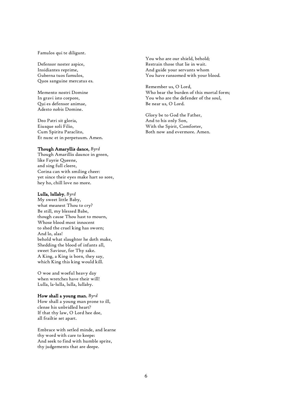Famulos qui te diligunt.

Defensor noster aspice, Insidiantes reprime, Guberna tuos famulos, Quos sanguine mercatus es.

Memento nostri Domine In gravi isto corpore, Qui es defensor animae, Adesto nobis Domine.

Deo Patri sit gloria, Eiusque soli Filio, Cum Spiritu Paraclito, Et nunc et in perpetuum. Amen.

#### Though Amaryllis dance, *Byrd*

Though Amarillis daunce in green, like Fayrie Queene, and sing full cleere, Corina can with smiling cheer: yet since their eyes make hart so sore, hey ho, chill love no more.

#### Lulla, lullaby, *Byrd*

My sweet little Baby, what meanest Thou to cry? Be still, my blessed Babe, though cause Thou hast to mourn, Whose blood most innocent to shed the cruel king has sworn; And lo, alas! behold what slaughter he doth make, Shedding the blood of infants all, sweet Saviour, for Thy sake. A King, a King is born, they say, which King this king would kill.

O woe and woeful heavy day when wretches have their will! Lulla, la-lulla, lulla, lullaby.

#### How shall a young man, *Byrd*

How shall a young man prone to ill, clense his unbridled heart? If that thy law, O Lord hee doe, all frailtie set apart.

Embrace with setled minde, and learne thy word with care to keepe: And seek to find with humble sprite, thy judgements that are deepe.

You who are our shield, behold: Restrain those that lie in wait. And guide your servants whom You have ransomed with your blood.

Remember us, O Lord, Who bear the burden of this mortal form; You who are the defender of the soul, Be near us, O Lord.

Glory be to God the Father, And to his only Son, With the Spirit, Comforter, Both now and evermore. Amen.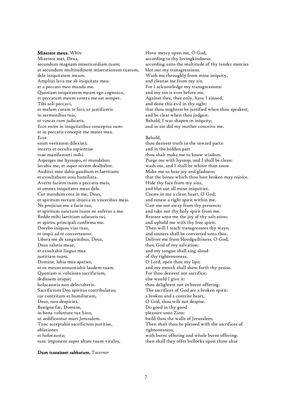#### Miserere meus, *White*

Miserere mei, Deus, secundum magnam misericordiam tuam; et secundum multitudinem miserationum tuarum, dele iniquitatem meam. Amplius lava me ab iniquitate mea: et a peccato meo munda me. Quoniam iniquitatem meam ego cognosco, et peccatum meum contra me est semper. Tibi soli peccavi, et malum coram te feci; ut justificeris in sermonibus tuis, et vincas cum judicaris. Ecce enim in iniquitatibus conceptus sum: et in peccatis concepit me mater mea. Ecce enim veritatem dilexisti; incerta et occulta sapientiae tuae manifestasti mihi. Asperges me hyssopo, et mundabor; lavabis me, et super nivem dealbabor. Auditui meo dabis gaudium et laetitiam: et exsultabunt ossa humiliata. Averte faciem tuam a peccatis meis, et omnes iniquitates meas dele. Cor mundum crea in me, Deus, et spiritum rectum innova in visceribus meis. Ne projicias me a facie tua, et spiritum sanctum tuum ne auferas a me. Redde mihi laetitiam salutaris tui, et spiritu principali confirma me. Docebo iniquos vias tuas, et impii ad te convertentur. Libera me de sanguinibus, Deus, Deus salutis meae, et exsultabit lingua mea justitiam tuam. Domine, labia mea aperies, et os meum annuntiabit laudem tuam. Quoniam si voluisses sacrificium, dedissem utique; holocaustis non delectaberis. Sacrificium Deo spiritus contribulatus; cor contritum et humiliatum, Deus, non despicies. Benigne fac, Domine, in bona voluntate tua Sion, ut aedificentur muri Jerusalem. Tunc acceptabis sacrificium justitiae, oblationes et holocausta; tunc imponent super altare tuum vitulos,

Have mercy upon me, O God, according to thy lovingkindness: according unto the multitude of thy tender mercies blot out my transgressions. Wash me throughly from mine iniquity, and cleanse me from my sin. For I acknowledge my transgressions: and my sin is ever before me. Against thee, thee only, have I sinned, and done this evil in thy sight: that thou mightest be justified when thou speakest, and be clear when thou judgest. Behold, I was shapen in iniquity; and in sin did my mother conceive me.

#### Behold,

thou desirest truth in the inward parts: and in the hidden part thou shalt make me to know wisdom. Purge me with hyssop, and I shall be clean: wash me, and I shall be whiter than snow. Make me to hear joy and gladness; that the bones which thou hast broken may rejoice. Hide thy face from my sins, and blot out all mine iniquities. Create in me a clean heart, O God; and renew a right spirit within me. Cast me not away from thy presence; and take not thy holy spirit from me. Restore unto me the joy of thy salvation; and uphold me with thy free spirit. Then will I teach transgressors thy ways; and sinners shall be converted unto thee. Deliver me from bloodguiltiness, O God, thou God of my salvation: and my tongue shall sing aloud of thy righteousness. O Lord, open thou my lips; and my mouth shall shew forth thy praise. For thou desirest not sacrifice; else would I give it: thou delightest not in burnt offering. The sacrifices of God are a broken spirit: a broken and a contrite heart, O God, thou wilt not despise. Do good in thy good pleasure unto Zion: build thou the walls of Jerusalem. Then shalt thou be pleased with the sacrifices of righteousness, with burnt offering and whole burnt offering: then shall they offer bullocks upon thine altar

#### Dum transisset sabbatum, *Taverner*